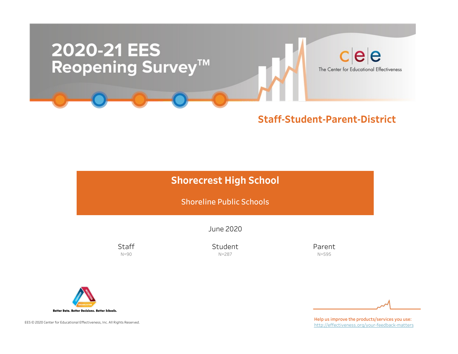

### Staff-Student-Parent-District

## Shorecrest High School

Shoreline Public Schools

June2020

**Staff** N=90

Student N=287

Parent N=595



EES © 2020 Center for Educational Effectiveness, Inc. All Rights Reserved.

Help us improve the products/services you use: http://effectiveness.org/your-feedback-matters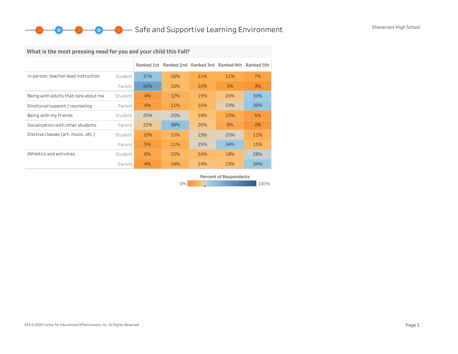### **O** Safe and Supportive Learning Environment Shorecrest High School

## What is the most pressing need for you and your child this Fall?

|                                      |         |     | Ranked 1st Ranked 2nd Ranked 3rd Ranked 4th |     |     | Ranked 5th |
|--------------------------------------|---------|-----|---------------------------------------------|-----|-----|------------|
| In-person, teacher-lead instruction  | Student | 37% | 16%                                         | 11% | 11% | 7%         |
|                                      | Parent  | 56% | 16%                                         | 10% | 5%  | 3%         |
| Being with adults that care about me | Student | 4%  | 12%                                         | 15% | 20% | 33%        |
| Emotional support / counseling       | Parent  | 4%  | 11%                                         | 15% | 23% | 36%        |
| Being with my friends                | Student | 25% | 25%                                         | 18% | 10% | 5%         |
| Socialization with other students    | Parent  | 21% | 38%                                         | 20% | 8%  | 2%         |
| Elective classes (art, music, etc.)  | Student | 10% | 15%                                         | 23% | 25% | 11%        |
|                                      | Parent  | 5%  | 11%                                         | 25% | 34% | 15%        |
| Athletics and activities             | Student | 8%  | 15%                                         | 16% | 18% | 28%        |
|                                      | Parent  | 4%  | 14%                                         | 19% | 19% | 34%        |

Percent of Respondents

0% 100% 100% 100% 100%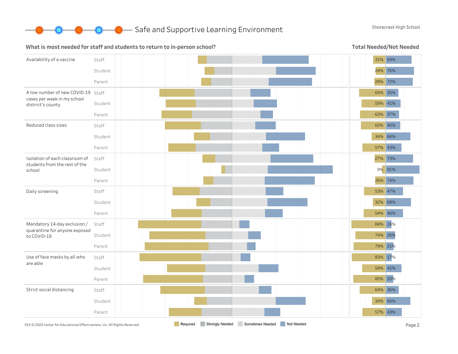

**O** Safe and Supportive Learning Environment Shorecrest High School

#### What is most needed for staff and students to return to in-person school?

Total Needed/Not Needed

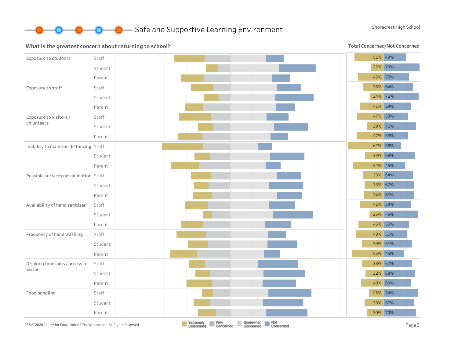

#### What is the greatest concern about returning to school?

Total Concerned/Not Concerned

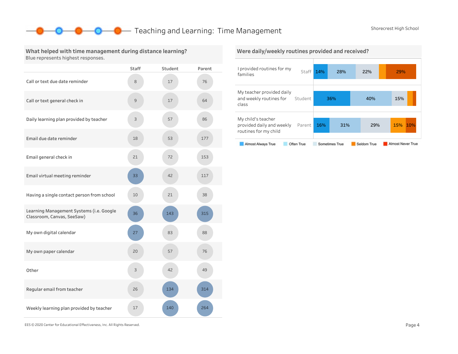### **O** Teaching and Learning: Time Management Shorecrest High School

#### What helped with time management during distance learning? Blue represents highest responses.

|                                                                        | <b>Staff</b> | Student | Parent |
|------------------------------------------------------------------------|--------------|---------|--------|
| Call or text due date reminder                                         | 8            | 17      | 76     |
| Call or text general check in                                          | 9            | 17      | 64     |
| Daily learning plan provided by teacher                                | 3            | 57      | 86     |
| Email due date reminder                                                | 18           | 53      | 177    |
| Email general check in                                                 | 21           | 72      | 153    |
| Email virtual meeting reminder                                         | 33           | 42      | 117    |
| Having a single contact person from school                             | 10           | 21      | 38     |
| Learning Management Systems (i.e. Google<br>Classroom, Canvas, SeeSaw) | 36           | 143     | 315    |
| My own digital calendar                                                | 27           | 83      | 88     |
| My own paper calendar                                                  | 20           | 57      | 76     |
| Other                                                                  | 3            | 42      | 49     |
| Regular email from teacher                                             | 26           | 134     | 314    |
| Weekly learning plan provided by teacher                               | 17           | 140     | 264    |



EES©2020CenterforEducationalEffectiveness,Inc.AllRightsReserved. Page4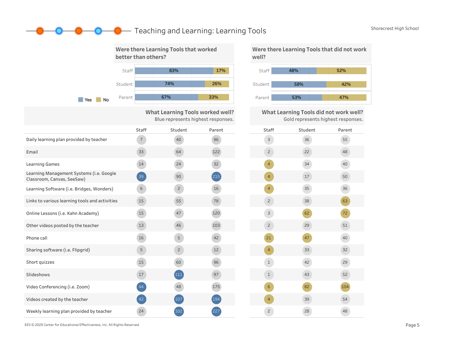### **O** Teaching and Learning: Learning Tools Shorecrest High School



What Learning Tools worked well? Blue represents highest responses.

|                                                                        | Staff           | Student        | Parent |
|------------------------------------------------------------------------|-----------------|----------------|--------|
| Daily learning plan provided by teacher                                | $7\overline{ }$ | 40             | 96     |
| Email                                                                  | 33              | 64             | 122    |
| <b>Learning Games</b>                                                  | 14              | 24             | 32     |
| Learning Management Systems (i.e. Google<br>Classroom, Canvas, SeeSaw) | 39              | 90             | (215)  |
| Learning Software (i.e. Bridges, Wonders)                              | 6               | $\overline{c}$ | 16     |
| Links to various learning tools and activities                         | 15              | 55             | 78     |
| Online Lessons (i.e. Kahn Academy)                                     | 15              | 47             | 120    |
| Other videos posted by the teacher                                     | 13              | 46             | 103    |
| Phone call                                                             | 16              | 5              | 42     |
| Sharing software (i.e. Flipgrid)                                       | 5               | $\overline{c}$ | 12     |
| Short quizzes                                                          | 15              | 60             | 96     |
| Slideshows                                                             | 17              | (111)          | 97     |
| Video Conferencing (i.e. Zoom)                                         | 44              | 48             | 175    |
| Videos created by the teacher                                          | 42              | (107)          | 194    |
| Weekly learning plan provided by teacher                               | 24              | 102            | 227    |

Were there Learning Tools that did not work well?



What Learning Tools did not work well? Goldrepresentshighestresponses.

|                          | Gold represents ingliest responses. |        |
|--------------------------|-------------------------------------|--------|
| Staff                    | Student                             | Parent |
| 3                        | 36                                  | 55     |
| $\mathbf{Z}$             | 22                                  | 48     |
| $\overline{4}$           | 34                                  | 40     |
| $\overline{4}$           | 17                                  | 50     |
| $\overline{4}$           | 35                                  | 36     |
| $\mathbf{Z}$             | 38                                  | 63     |
| 3                        | 62                                  | 72     |
| $\mathbf{Z}$             | 29                                  | 51     |
| 21                       | 47                                  | 40     |
| $\overline{\mathcal{A}}$ | 33                                  | 32     |
| $\mathbf 1$              | 42                                  | 29     |
| $\mathbf 1$              | 43                                  | 52     |
| $\mathsf 6$              | 82                                  | 104    |
| $\overline{4}$           | 39                                  | 54     |
| $\overline{c}$           | 28                                  | 48     |

EES©2020CenterforEducationalEffectiveness,Inc.AllRightsReserved. Page5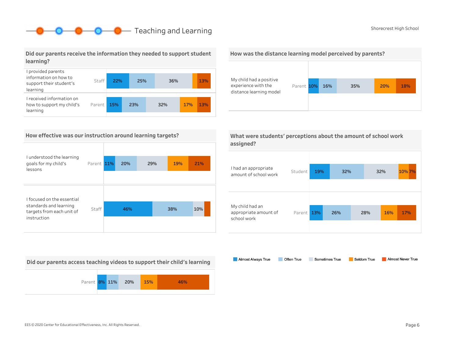## **O** Teaching and Learning Shorecrest High School Shorecrest High School

#### Did our parents receive the information they needed to support student learning?



#### How effective was our instruction around learning targets?

| I understood the learning                                                         |            |     |     |     |     |
|-----------------------------------------------------------------------------------|------------|-----|-----|-----|-----|
| goals for my child's<br>lessons                                                   | Parent 11% | 20% | 29% | 19% | 21% |
|                                                                                   |            |     |     |     |     |
|                                                                                   |            |     |     |     |     |
| I focused on the essential<br>standards and learning<br>targets from each unit of | Staff      | 46% |     | 38% | 10% |
| instruction                                                                       |            |     |     |     |     |

Did our parents access teaching videos to support their child's learning







|           | What were students' perceptions about the amount of school work |
|-----------|-----------------------------------------------------------------|
| assigned? |                                                                 |

| I had an appropriate<br>amount of school work           | Student | 19% | 32% |     | 32% | 10% 7% |  |
|---------------------------------------------------------|---------|-----|-----|-----|-----|--------|--|
| My child had an<br>appropriate amount of<br>school work | Parent  | 13% | 26% | 28% | 16% | 17%    |  |

Almost Always True Sometimes True Almost Never True Often True Seldom True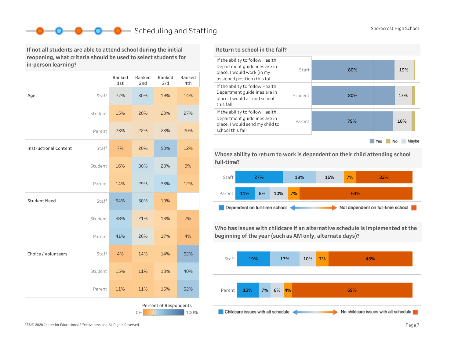## Scheduling and Staffing Shorecrest High School

If not all students are able to attend school during the initial reopening, what criteria should be used to select students for in-person learning?

|                              |         | Ranked<br>1st | Ranked<br>2nd | Ranked<br>3rd          | Ranked<br>4th |
|------------------------------|---------|---------------|---------------|------------------------|---------------|
| Age                          | Staff   | 27%           | 30%           | 19%                    | 14%           |
|                              | Student | 15%           | 20%           | 20%                    | 27%           |
|                              | Parent  | 23%           | 22%           | 23%                    | 20%           |
| <b>Instructional Content</b> | Staff   | 7%            | 20%           | 50%                    | 12%           |
|                              | Student | 16%           | 30%           | 28%                    | 9%            |
|                              | Parent  | 14%           | 29%           | 33%                    | 12%           |
| <b>Student Need</b>          | Staff   | 54%           | 30%           | 10%                    |               |
|                              | Student | 38%           | 21%           | 18%                    | 7%            |
|                              | Parent  | 41%           | 26%           | 17%                    | 4%            |
| Choice / Volunteers          | Staff   | 4%            | 14%           | 14%                    | 62%           |
|                              | Student | 15%           | 11%           | 18%                    | 40%           |
|                              | Parent  | 11%           | 11%           | 15%                    | 52%           |
|                              |         |               | 0%            | Percent of Respondents | 100%          |



Whose ability to return to work is dependent on their child attending school full-time?



Who has issues with childcare if an alternative schedule is implemented at the beginning of the year (such as AM only, alternate days)?

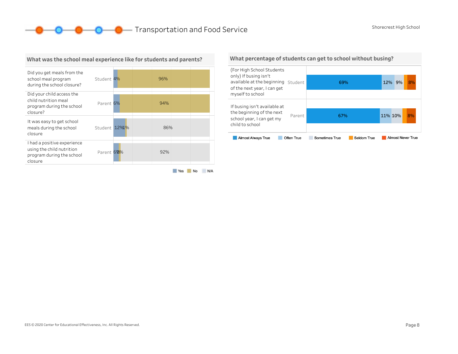**O** Shorecrest High School **Company** Transportation and Food Service



#### What was the school meal experience like for students and parents?

What percentage of students can get to school without busing?



#### EES © 2020 Center for Educational Effectiveness, Inc. All Rights Reserved. **Page 8** Page 8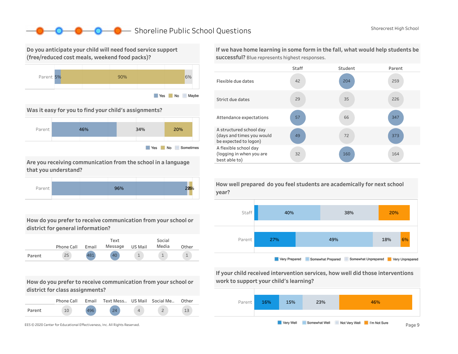### Shoreline Public School Questions Shorecrest High School

Do you anticipate your child will need food service support (free/reduced cost meals, weekend food packs)?



Was it easy for you to find your child's assignments?



Are you receiving communication from the school in a language that you understand?



How do you prefer to receive communication from your school or district for general information?

|        | Phone Call | Email | Text<br>Message | US Mail | Social<br>Media | Other |
|--------|------------|-------|-----------------|---------|-----------------|-------|
| Parent | 25         | 481   | 40              |         |                 |       |

How do you prefer to receive communication from your school or district for class assignments?

|        | Phone Call | Email | Text Mess US Mail Social Me |  | Other |
|--------|------------|-------|-----------------------------|--|-------|
| Parent |            | 496   | 21                          |  | 13    |



If we have home learning in some form in the fall, what would help students be successful? Blue represents highest responses.



How well prepared do you feel students are academically for next school



If your child received intervention services, how well did those interventions work to support your child's learning?

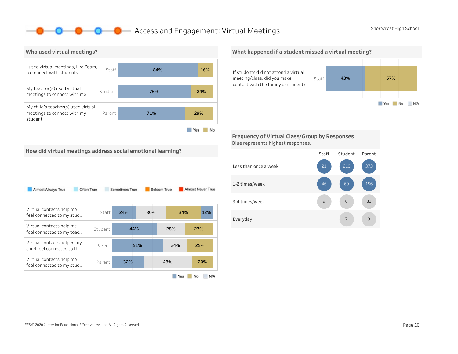### **O** Access and Engagement: Virtual Meetings Shorecrest High School



What happened if a student missed a virtual meeting?



Frequency of Virtual Class/Group by Responses Blue represents highest responses.



How did virtual meetings address social emotional learning?

| Almost Always True                                       | Often True | Sometimes True |     | Seldom True | Almost Never True |
|----------------------------------------------------------|------------|----------------|-----|-------------|-------------------|
| Virtual contacts help me<br>feel connected to my stud    | Staff      | 24%            | 30% |             | 34%<br>12%        |
| Virtual contacts help me<br>feel connected to my teac    | Student    | 44%            |     | 28%         | 27%               |
| Virtual contacts helped my<br>child feel connected to th | Parent     | 51%            |     | 24%         | 25%               |
| Virtual contacts help me<br>feel connected to my stud    | Parent     | 32%            |     | 48%         | 20%               |
|                                                          |            |                |     | Yes         | No<br>N/A         |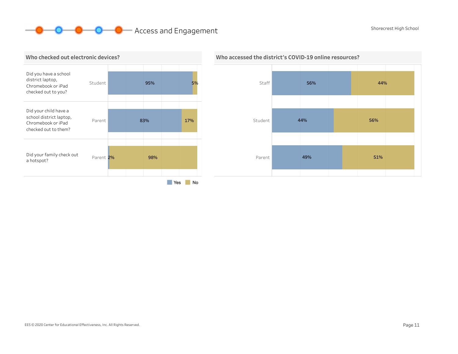# **O O** Access and Engagement Shorecrest High School Shorecrest High School





### Who accessed the district's COVID-19 online resources?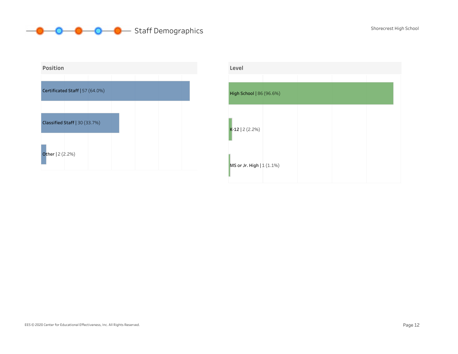# **O** O Staff Demographics Shorecrest High School



| Level                     |  |  |
|---------------------------|--|--|
| High School   86 (96.6%)  |  |  |
| $K-12$   2 (2.2%)         |  |  |
| MS or Jr. High   1 (1.1%) |  |  |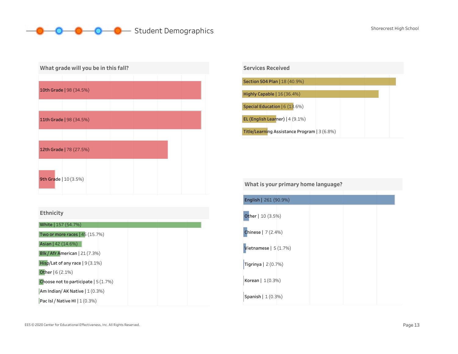## **O** Student Demographics Shorecrest High School







What is your primary home language?

| English   261 (90.9%)      |  |  |
|----------------------------|--|--|
| Other   10 (3.5%)          |  |  |
| <b>Chinese</b> $  7(2.4%)$ |  |  |
| Vietnamese $  5(1.7%)$     |  |  |
| Tigrinya $ 2(0.7%)$        |  |  |
| Korean $  1(0.3%)$         |  |  |
| Spanish $  1(0.3%)$        |  |  |